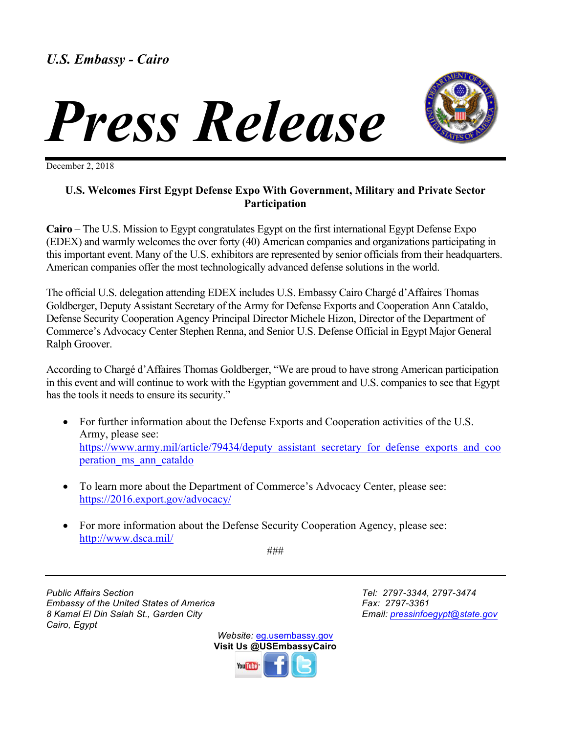



December 2, 2018

## **U.S. Welcomes First Egypt Defense Expo With Government, Military and Private Sector Participation**

**Cairo** – The U.S. Mission to Egypt congratulates Egypt on the first international Egypt Defense Expo (EDEX) and warmly welcomes the over forty (40) American companies and organizations participating in this important event. Many of the U.S. exhibitors are represented by senior officials from their headquarters. American companies offer the most technologically advanced defense solutions in the world.

The official U.S. delegation attending EDEX includes U.S. Embassy Cairo Chargé d'Affaires Thomas Goldberger, Deputy Assistant Secretary of the Army for Defense Exports and Cooperation Ann Cataldo, Defense Security Cooperation Agency Principal Director Michele Hizon, Director of the Department of Commerce's Advocacy Center Stephen Renna, and Senior U.S. Defense Official in Egypt Major General Ralph Groover.

According to Chargé d'Affaires Thomas Goldberger, "We are proud to have strong American participation in this event and will continue to work with the Egyptian government and U.S. companies to see that Egypt has the tools it needs to ensure its security."

- For further information about the Defense Exports and Cooperation activities of the U.S. Army, please see: https://www.army.mil/article/79434/deputy\_assistant\_secretary\_for\_defense\_exports\_and\_coo peration ms ann cataldo
- To learn more about the Department of Commerce's Advocacy Center, please see: https://2016.export.gov/advocacy/
- For more information about the Defense Security Cooperation Agency, please see: http://www.dsca.mil/

###

*Public Affairs Section Tel: 2797-3344, 2797-3474 Embassy of the United States of America* Fax: 2797-3361 *8 Kamal El Din Salah St., Garden City Email: pressinfoegypt@state.gov Cairo, Egypt*